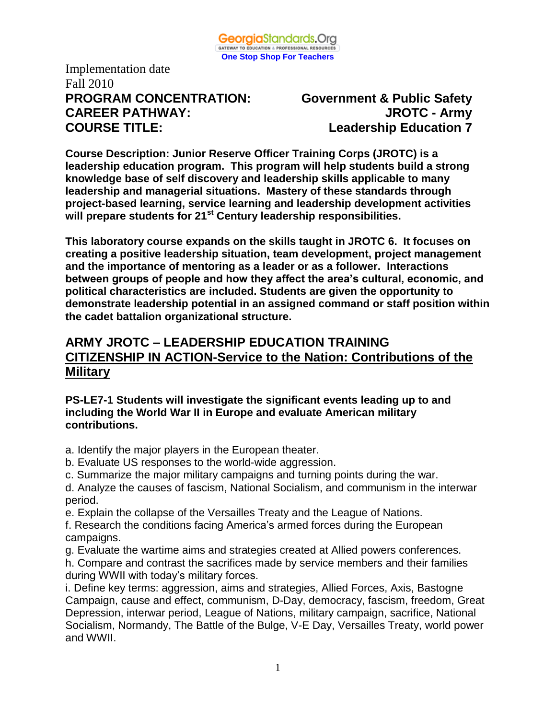

Implementation date Fall 2010 **PROGRAM CONCENTRATION: Government & Public Safety CAREER PATHWAY: JROTC - Army COURSE TITLE: Leadership Education 7**

**Course Description: Junior Reserve Officer Training Corps (JROTC) is a leadership education program. This program will help students build a strong knowledge base of self discovery and leadership skills applicable to many leadership and managerial situations. Mastery of these standards through project-based learning, service learning and leadership development activities will prepare students for 21st Century leadership responsibilities.**

**This laboratory course expands on the skills taught in JROTC 6. It focuses on creating a positive leadership situation, team development, project management and the importance of mentoring as a leader or as a follower. Interactions between groups of people and how they affect the area's cultural, economic, and political characteristics are included. Students are given the opportunity to demonstrate leadership potential in an assigned command or staff position within the cadet battalion organizational structure.** 

# **ARMY JROTC – LEADERSHIP EDUCATION TRAINING CITIZENSHIP IN ACTION-Service to the Nation: Contributions of the Military**

#### **PS-LE7-1 Students will investigate the significant events leading up to and including the World War II in Europe and evaluate American military contributions.**

- a. Identify the major players in the European theater.
- b. Evaluate US responses to the world-wide aggression.
- c. Summarize the major military campaigns and turning points during the war.
- d. Analyze the causes of fascism, National Socialism, and communism in the interwar period.
- e. Explain the collapse of the Versailles Treaty and the League of Nations.
- f. Research the conditions facing America's armed forces during the European campaigns.
- g. Evaluate the wartime aims and strategies created at Allied powers conferences.
- h. Compare and contrast the sacrifices made by service members and their families during WWII with today's military forces.

i. Define key terms: aggression, aims and strategies, Allied Forces, Axis, Bastogne Campaign, cause and effect, communism, D-Day, democracy, fascism, freedom, Great Depression, interwar period, League of Nations, military campaign, sacrifice, National Socialism, Normandy, The Battle of the Bulge, V-E Day, Versailles Treaty, world power and WWII.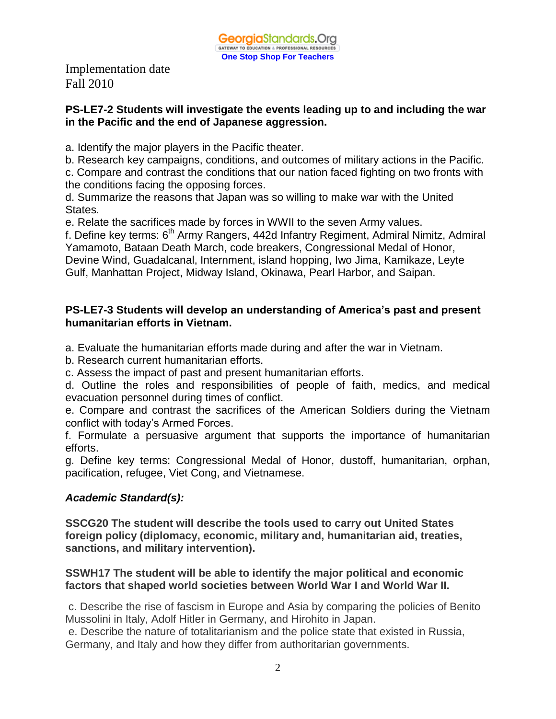#### **PS-LE7-2 Students will investigate the events leading up to and including the war in the Pacific and the end of Japanese aggression.**

a. Identify the major players in the Pacific theater.

b. Research key campaigns, conditions, and outcomes of military actions in the Pacific.

c. Compare and contrast the conditions that our nation faced fighting on two fronts with the conditions facing the opposing forces.

d. Summarize the reasons that Japan was so willing to make war with the United States.

e. Relate the sacrifices made by forces in WWII to the seven Army values.

f. Define key terms: 6<sup>th</sup> Army Rangers, 442d Infantry Regiment, Admiral Nimitz, Admiral Yamamoto, Bataan Death March, code breakers, Congressional Medal of Honor, Devine Wind, Guadalcanal, Internment, island hopping, Iwo Jima, Kamikaze, Leyte Gulf, Manhattan Project, Midway Island, Okinawa, Pearl Harbor, and Saipan.

#### **PS-LE7-3 Students will develop an understanding of America's past and present humanitarian efforts in Vietnam.**

a. Evaluate the humanitarian efforts made during and after the war in Vietnam.

b. Research current humanitarian efforts.

c. Assess the impact of past and present humanitarian efforts.

d. Outline the roles and responsibilities of people of faith, medics, and medical evacuation personnel during times of conflict.

e. Compare and contrast the sacrifices of the American Soldiers during the Vietnam conflict with today's Armed Forces.

f. Formulate a persuasive argument that supports the importance of humanitarian efforts.

g. Define key terms: Congressional Medal of Honor, dustoff, humanitarian, orphan, pacification, refugee, Viet Cong, and Vietnamese.

## *Academic Standard(s):*

**SSCG20 The student will describe the tools used to carry out United States foreign policy (diplomacy, economic, military and, humanitarian aid, treaties, sanctions, and military intervention).**

#### **SSWH17 The student will be able to identify the major political and economic factors that shaped world societies between World War I and World War II.**

c. Describe the rise of fascism in Europe and Asia by comparing the policies of Benito Mussolini in Italy, Adolf Hitler in Germany, and Hirohito in Japan.

e. Describe the nature of totalitarianism and the police state that existed in Russia, Germany, and Italy and how they differ from authoritarian governments.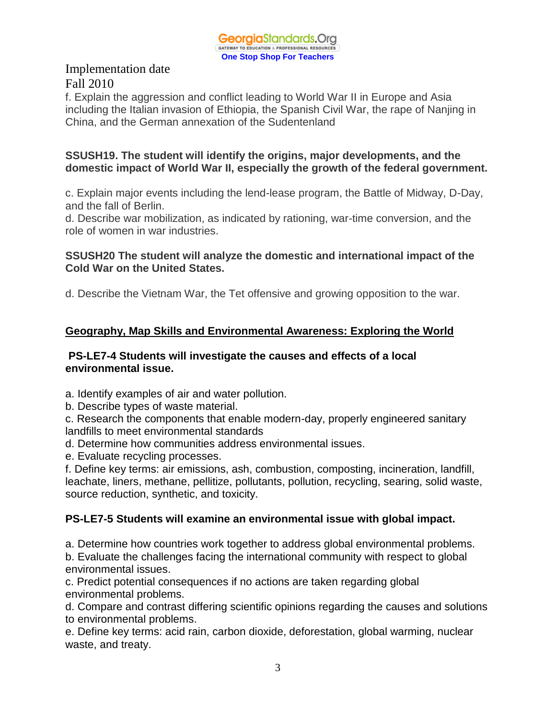

f. Explain the aggression and conflict leading to World War II in Europe and Asia including the Italian invasion of Ethiopia, the Spanish Civil War, the rape of Nanjing in China, and the German annexation of the Sudentenland

#### **SSUSH19. The student will identify the origins, major developments, and the domestic impact of World War II, especially the growth of the federal government.**

c. Explain major events including the lend-lease program, the Battle of Midway, D-Day, and the fall of Berlin.

d. Describe war mobilization, as indicated by rationing, war-time conversion, and the role of women in war industries.

#### **SSUSH20 The student will analyze the domestic and international impact of the Cold War on the United States.**

d. Describe the Vietnam War, the Tet offensive and growing opposition to the war.

## **Geography, Map Skills and Environmental Awareness: Exploring the World**

#### **PS-LE7-4 Students will investigate the causes and effects of a local environmental issue.**

a. Identify examples of air and water pollution.

b. Describe types of waste material.

c. Research the components that enable modern-day, properly engineered sanitary landfills to meet environmental standards

d. Determine how communities address environmental issues.

e. Evaluate recycling processes.

f. Define key terms: air emissions, ash, combustion, composting, incineration, landfill, leachate, liners, methane, pellitize, pollutants, pollution, recycling, searing, solid waste, source reduction, synthetic, and toxicity.

# **PS-LE7-5 Students will examine an environmental issue with global impact.**

a. Determine how countries work together to address global environmental problems. b. Evaluate the challenges facing the international community with respect to global

environmental issues.

c. Predict potential consequences if no actions are taken regarding global environmental problems.

d. Compare and contrast differing scientific opinions regarding the causes and solutions to environmental problems.

e. Define key terms: acid rain, carbon dioxide, deforestation, global warming, nuclear waste, and treaty.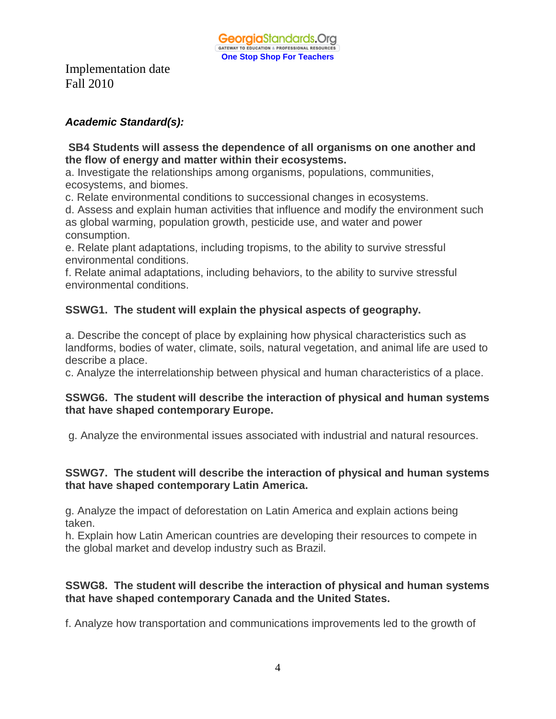## *Academic Standard(s):*

### **SB4 Students will assess the dependence of all organisms on one another and the flow of energy and matter within their ecosystems.**

a. Investigate the relationships among organisms, populations, communities, ecosystems, and biomes.

c. Relate environmental conditions to successional changes in ecosystems.

d. Assess and explain human activities that influence and modify the environment such as global warming, population growth, pesticide use, and water and power consumption.

e. Relate plant adaptations, including tropisms, to the ability to survive stressful environmental conditions.

f. Relate animal adaptations, including behaviors, to the ability to survive stressful environmental conditions.

# **SSWG1. The student will explain the physical aspects of geography.**

a. Describe the concept of place by explaining how physical characteristics such as landforms, bodies of water, climate, soils, natural vegetation, and animal life are used to describe a place.

c. Analyze the interrelationship between physical and human characteristics of a place.

#### **SSWG6. The student will describe the interaction of physical and human systems that have shaped contemporary Europe.**

g. Analyze the environmental issues associated with industrial and natural resources.

## **SSWG7. The student will describe the interaction of physical and human systems that have shaped contemporary Latin America.**

g. Analyze the impact of deforestation on Latin America and explain actions being taken.

h. Explain how Latin American countries are developing their resources to compete in the global market and develop industry such as Brazil.

## **SSWG8. The student will describe the interaction of physical and human systems that have shaped contemporary Canada and the United States.**

f. Analyze how transportation and communications improvements led to the growth of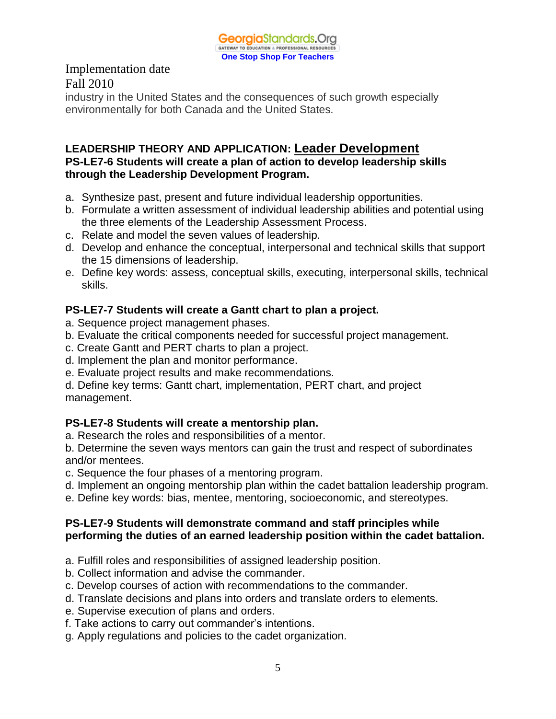

industry in the United States and the consequences of such growth especially environmentally for both Canada and the United States.

### **LEADERSHIP THEORY AND APPLICATION: Leader Development PS-LE7-6 Students will create a plan of action to develop leadership skills through the Leadership Development Program.**

- a. Synthesize past, present and future individual leadership opportunities.
- b. Formulate a written assessment of individual leadership abilities and potential using the three elements of the Leadership Assessment Process.
- c. Relate and model the seven values of leadership.
- d. Develop and enhance the conceptual, interpersonal and technical skills that support the 15 dimensions of leadership.
- e. Define key words: assess, conceptual skills, executing, interpersonal skills, technical skills.

# **PS-LE7-7 Students will create a Gantt chart to plan a project.**

- a. Sequence project management phases.
- b. Evaluate the critical components needed for successful project management.
- c. Create Gantt and PERT charts to plan a project.
- d. Implement the plan and monitor performance.
- e. Evaluate project results and make recommendations.

d. Define key terms: Gantt chart, implementation, PERT chart, and project management.

## **PS-LE7-8 Students will create a mentorship plan.**

a. Research the roles and responsibilities of a mentor.

b. Determine the seven ways mentors can gain the trust and respect of subordinates and/or mentees.

- c. Sequence the four phases of a mentoring program.
- d. Implement an ongoing mentorship plan within the cadet battalion leadership program.
- e. Define key words: bias, mentee, mentoring, socioeconomic, and stereotypes.

#### **PS-LE7-9 Students will demonstrate command and staff principles while performing the duties of an earned leadership position within the cadet battalion.**

- a. Fulfill roles and responsibilities of assigned leadership position.
- b. Collect information and advise the commander.
- c. Develop courses of action with recommendations to the commander.
- d. Translate decisions and plans into orders and translate orders to elements.
- e. Supervise execution of plans and orders.
- f. Take actions to carry out commander's intentions.
- g. Apply regulations and policies to the cadet organization.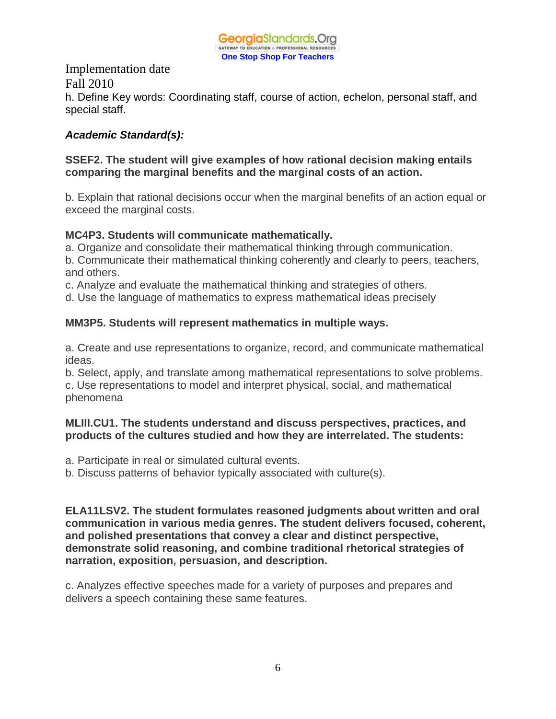

Implementation date Fall 2010 h. Define Key words: Coordinating staff, course of action, echelon, personal staff, and special staff.

### *Academic Standard(s):*

### **SSEF2. The student will give examples of how rational decision making entails comparing the marginal benefits and the marginal costs of an action.**

b. Explain that rational decisions occur when the marginal benefits of an action equal or exceed the marginal costs.

#### **MC4P3. Students will communicate mathematically.**

a. Organize and consolidate their mathematical thinking through communication.

b. Communicate their mathematical thinking coherently and clearly to peers, teachers, and others.

c. Analyze and evaluate the mathematical thinking and strategies of others.

d. Use the language of mathematics to express mathematical ideas precisely

## **MM3P5. Students will represent mathematics in multiple ways.**

a. Create and use representations to organize, record, and communicate mathematical ideas.

b. Select, apply, and translate among mathematical representations to solve problems.

c. Use representations to model and interpret physical, social, and mathematical phenomena

#### **MLIII.CU1. The students understand and discuss perspectives, practices, and products of the cultures studied and how they are interrelated. The students:**

a. Participate in real or simulated cultural events.

b. Discuss patterns of behavior typically associated with culture(s).

**ELA11LSV2. The student formulates reasoned judgments about written and oral communication in various media genres. The student delivers focused, coherent, and polished presentations that convey a clear and distinct perspective, demonstrate solid reasoning, and combine traditional rhetorical strategies of narration, exposition, persuasion, and description.**

c. Analyzes effective speeches made for a variety of purposes and prepares and delivers a speech containing these same features.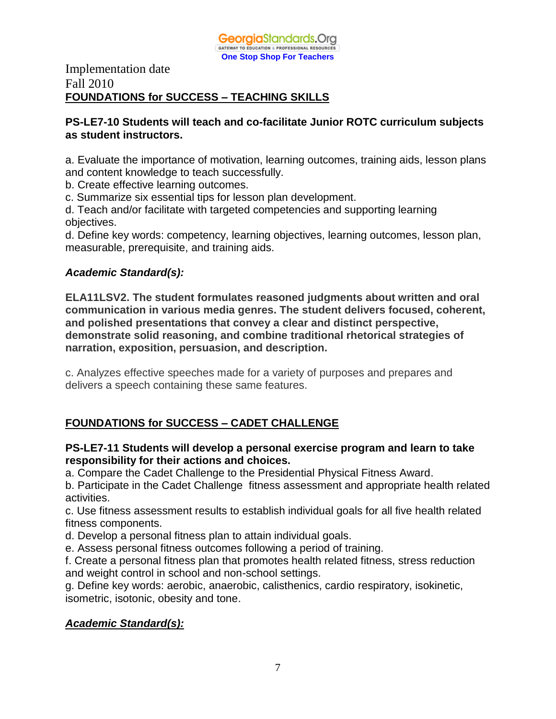

### Implementation date Fall 2010 **FOUNDATIONS for SUCCESS – TEACHING SKILLS**

#### **PS-LE7-10 Students will teach and co-facilitate Junior ROTC curriculum subjects as student instructors.**

a. Evaluate the importance of motivation, learning outcomes, training aids, lesson plans and content knowledge to teach successfully.

b. Create effective learning outcomes.

c. Summarize six essential tips for lesson plan development.

d. Teach and/or facilitate with targeted competencies and supporting learning objectives.

d. Define key words: competency, learning objectives, learning outcomes, lesson plan, measurable, prerequisite, and training aids.

#### *Academic Standard(s):*

**ELA11LSV2. The student formulates reasoned judgments about written and oral communication in various media genres. The student delivers focused, coherent, and polished presentations that convey a clear and distinct perspective, demonstrate solid reasoning, and combine traditional rhetorical strategies of narration, exposition, persuasion, and description.**

c. Analyzes effective speeches made for a variety of purposes and prepares and delivers a speech containing these same features.

# **FOUNDATIONS for SUCCESS – CADET CHALLENGE**

#### **PS-LE7-11 Students will develop a personal exercise program and learn to take responsibility for their actions and choices.**

a. Compare the Cadet Challenge to the Presidential Physical Fitness Award.

b. Participate in the Cadet Challenge fitness assessment and appropriate health related activities.

c. Use fitness assessment results to establish individual goals for all five health related fitness components.

d. Develop a personal fitness plan to attain individual goals.

e. Assess personal fitness outcomes following a period of training.

f. Create a personal fitness plan that promotes health related fitness, stress reduction and weight control in school and non-school settings.

g. Define key words: aerobic, anaerobic, calisthenics, cardio respiratory, isokinetic, isometric, isotonic, obesity and tone.

## *Academic Standard(s):*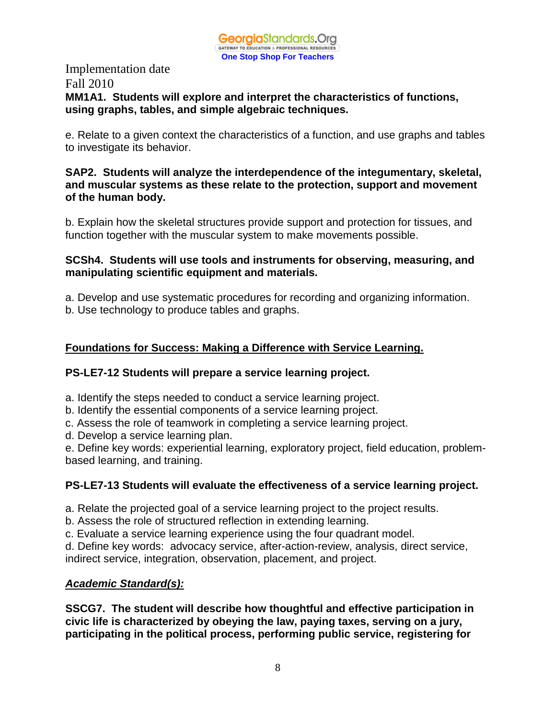#### Implementation date Fall 2010 **MM1A1. Students will explore and interpret the characteristics of functions, using graphs, tables, and simple algebraic techniques.**

e. Relate to a given context the characteristics of a function, and use graphs and tables to investigate its behavior.

#### **SAP2. Students will analyze the interdependence of the integumentary, skeletal, and muscular systems as these relate to the protection, support and movement of the human body.**

b. Explain how the skeletal structures provide support and protection for tissues, and function together with the muscular system to make movements possible.

#### **SCSh4. Students will use tools and instruments for observing, measuring, and manipulating scientific equipment and materials.**

a. Develop and use systematic procedures for recording and organizing information.

b. Use technology to produce tables and graphs.

# **Foundations for Success: Making a Difference with Service Learning.**

# **PS-LE7-12 Students will prepare a service learning project.**

a. Identify the steps needed to conduct a service learning project.

- b. Identify the essential components of a service learning project.
- c. Assess the role of teamwork in completing a service learning project.
- d. Develop a service learning plan.

e. Define key words: experiential learning, exploratory project, field education, problembased learning, and training.

# **PS-LE7-13 Students will evaluate the effectiveness of a service learning project.**

a. Relate the projected goal of a service learning project to the project results.

b. Assess the role of structured reflection in extending learning.

c. Evaluate a service learning experience using the four quadrant model.

d. Define key words: advocacy service, after-action-review, analysis, direct service, indirect service, integration, observation, placement, and project.

# *Academic Standard(s):*

**SSCG7. The student will describe how thoughtful and effective participation in civic life is characterized by obeying the law, paying taxes, serving on a jury, participating in the political process, performing public service, registering for**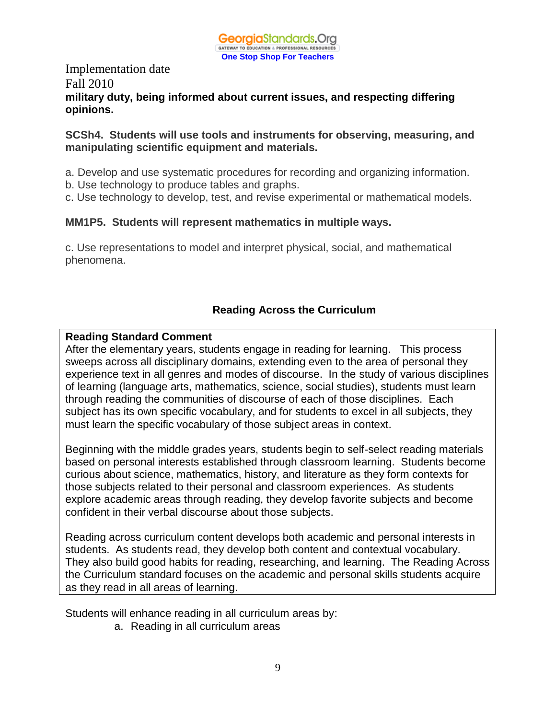

## Implementation date Fall 2010 **military duty, being informed about current issues, and respecting differing opinions.**

#### **SCSh4. Students will use tools and instruments for observing, measuring, and manipulating scientific equipment and materials.**

- a. Develop and use systematic procedures for recording and organizing information.
- b. Use technology to produce tables and graphs.
- c. Use technology to develop, test, and revise experimental or mathematical models.

#### **MM1P5. Students will represent mathematics in multiple ways.**

c. Use representations to model and interpret physical, social, and mathematical phenomena.

## **Reading Across the Curriculum**

#### **Reading Standard Comment**

After the elementary years, students engage in reading for learning. This process sweeps across all disciplinary domains, extending even to the area of personal they experience text in all genres and modes of discourse. In the study of various disciplines of learning (language arts, mathematics, science, social studies), students must learn through reading the communities of discourse of each of those disciplines. Each subject has its own specific vocabulary, and for students to excel in all subjects, they must learn the specific vocabulary of those subject areas in context.

Beginning with the middle grades years, students begin to self-select reading materials based on personal interests established through classroom learning. Students become curious about science, mathematics, history, and literature as they form contexts for those subjects related to their personal and classroom experiences. As students explore academic areas through reading, they develop favorite subjects and become confident in their verbal discourse about those subjects.

Reading across curriculum content develops both academic and personal interests in students. As students read, they develop both content and contextual vocabulary. They also build good habits for reading, researching, and learning. The Reading Across the Curriculum standard focuses on the academic and personal skills students acquire as they read in all areas of learning.

Students will enhance reading in all curriculum areas by:

a. Reading in all curriculum areas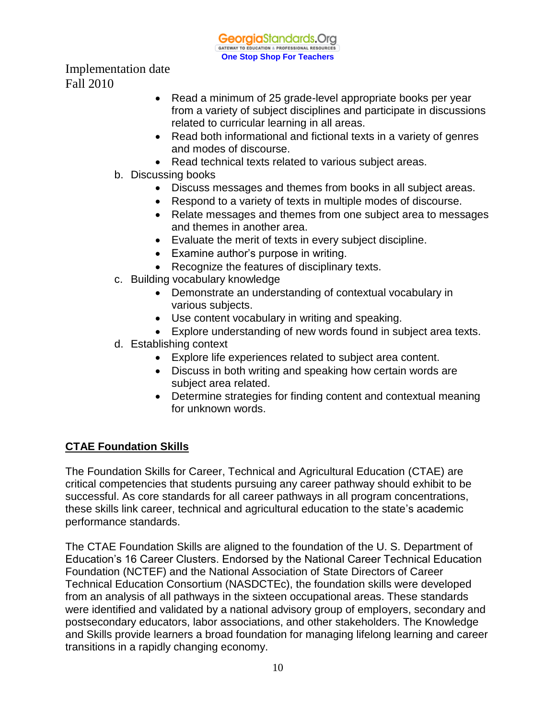**Georgia**Standards.Org GATEWAY TO EDUCATION & PROFESSIONAL RESOURCE **One Stop Shop For Teachers**

Implementation date Fall 2010

- Read a minimum of 25 grade-level appropriate books per year from a variety of subject disciplines and participate in discussions related to curricular learning in all areas.
- Read both informational and fictional texts in a variety of genres and modes of discourse.
- Read technical texts related to various subject areas.
- b. Discussing books
	- Discuss messages and themes from books in all subject areas.
	- Respond to a variety of texts in multiple modes of discourse.
	- Relate messages and themes from one subject area to messages and themes in another area.
	- Evaluate the merit of texts in every subject discipline.
	- Examine author's purpose in writing.
	- Recognize the features of disciplinary texts.
- c. Building vocabulary knowledge
	- Demonstrate an understanding of contextual vocabulary in various subjects.
	- Use content vocabulary in writing and speaking.
	- Explore understanding of new words found in subject area texts.
- d. Establishing context
	- Explore life experiences related to subject area content.
	- Discuss in both writing and speaking how certain words are subject area related.
	- Determine strategies for finding content and contextual meaning for unknown words.

# **CTAE Foundation Skills**

The Foundation Skills for Career, Technical and Agricultural Education (CTAE) are critical competencies that students pursuing any career pathway should exhibit to be successful. As core standards for all career pathways in all program concentrations, these skills link career, technical and agricultural education to the state's academic performance standards.

The CTAE Foundation Skills are aligned to the foundation of the U. S. Department of Education's 16 Career Clusters. Endorsed by the National Career Technical Education Foundation (NCTEF) and the National Association of State Directors of Career Technical Education Consortium (NASDCTEc), the foundation skills were developed from an analysis of all pathways in the sixteen occupational areas. These standards were identified and validated by a national advisory group of employers, secondary and postsecondary educators, labor associations, and other stakeholders. The Knowledge and Skills provide learners a broad foundation for managing lifelong learning and career transitions in a rapidly changing economy.